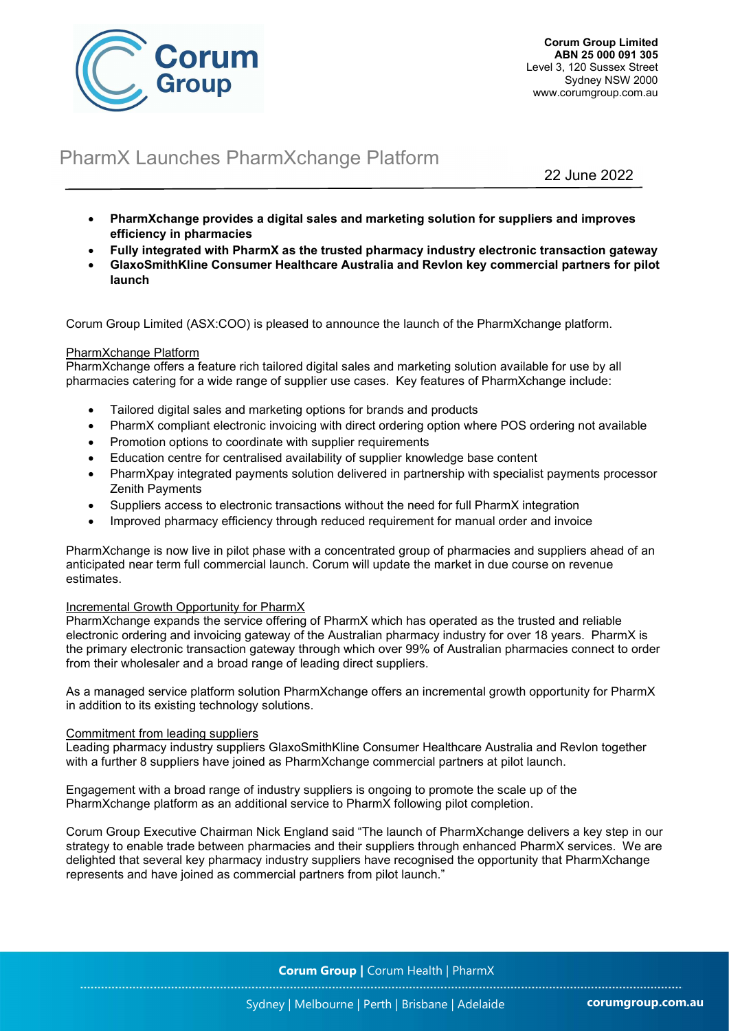

# PharmX Launches PharmXchange Platform

22 June 2022

- PharmXchange provides a digital sales and marketing solution for suppliers and improves efficiency in pharmacies
- Fully integrated with PharmX as the trusted pharmacy industry electronic transaction gateway GlaxoSmithKline Consumer Healthcare Australia and Revlon key commercial partners for pilot launch

Corum Group Limited (ASX:COO) is pleased to announce the launch of the PharmXchange platform.

## PharmXchange Platform

PharmXchange offers a feature rich tailored digital sales and marketing solution available for use by all pharmacies catering for a wide range of supplier use cases. Key features of PharmXchange include:

- Tailored digital sales and marketing options for brands and products
- PharmX compliant electronic invoicing with direct ordering option where POS ordering not available
- Promotion options to coordinate with supplier requirements
- Education centre for centralised availability of supplier knowledge base content
- PharmXpay integrated payments solution delivered in partnership with specialist payments processor Zenith Payments
- Suppliers access to electronic transactions without the need for full PharmX integration
- Improved pharmacy efficiency through reduced requirement for manual order and invoice

PharmXchange is now live in pilot phase with a concentrated group of pharmacies and suppliers ahead of an anticipated near term full commercial launch. Corum will update the market in due course on revenue estimates.

## Incremental Growth Opportunity for PharmX

PharmXchange expands the service offering of PharmX which has operated as the trusted and reliable electronic ordering and invoicing gateway of the Australian pharmacy industry for over 18 years. PharmX is the primary electronic transaction gateway through which over 99% of Australian pharmacies connect to order from their wholesaler and a broad range of leading direct suppliers.

As a managed service platform solution PharmXchange offers an incremental growth opportunity for PharmX in addition to its existing technology solutions.

#### Commitment from leading suppliers

Leading pharmacy industry suppliers GlaxoSmithKline Consumer Healthcare Australia and Revlon together with a further 8 suppliers have joined as PharmXchange commercial partners at pilot launch.

Engagement with a broad range of industry suppliers is ongoing to promote the scale up of the PharmXchange platform as an additional service to PharmX following pilot completion.

Corum Group Executive Chairman Nick England said "The launch of PharmXchange delivers a key step in our strategy to enable trade between pharmacies and their suppliers through enhanced PharmX services. We are delighted that several key pharmacy industry suppliers have recognised the opportunity that PharmXchange represents and have joined as commercial partners from pilot launch."

**Corum Group | Corum Health | PharmX**